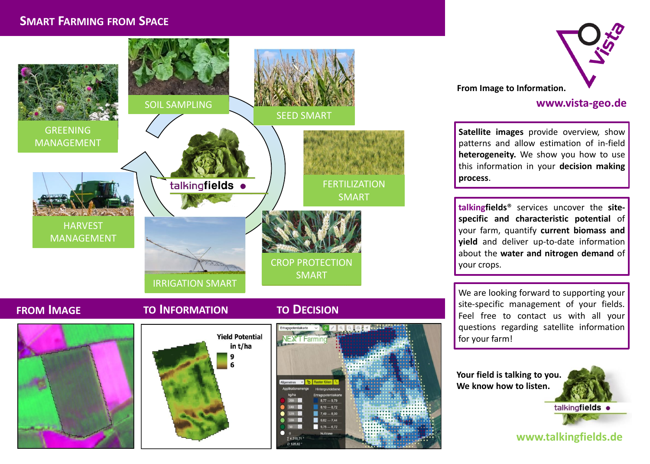### **SMART FARMING FROM SPACE**



### **FROM IMAGE TO INFORMATION TO DECISION**



# **Yield Potential** in t/ha 9 6





#### **www.vista-geo.de**

**Satellite images** provide overview, show patterns and allow estimation of in-field **heterogeneity.** We show you how to use this information in your **decision making process**.

**talkingfields**® services uncover the **sitespecific and characteristic potential** of your farm, quantify **current biomass and yield** and deliver up-to-date information about the **water and nitrogen demand** of your crops.

We are looking forward to supporting your site-specific management of your fields. Feel free to contact us with all your questions regarding satellite information for your farm!

**Your field is talking to you. We know how to listen.**



**www.talkingfields.de**